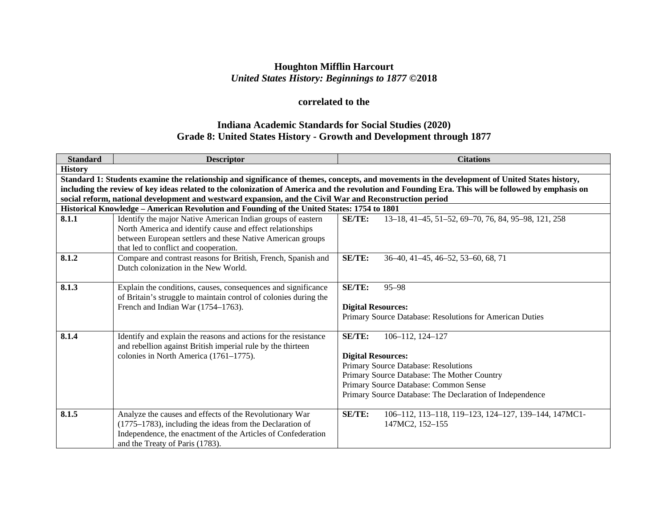## **Houghton Mifflin Harcourt** *United States History: Beginnings to 1877* **©2018**

# **correlated to the**

## **Indiana Academic Standards for Social Studies (2020) Grade 8: United States History - Growth and Development through 1877**

| <b>Standard</b> | <b>Descriptor</b>                                                                                                                                                                                                               | <b>Citations</b>                                                                                                                                                                                                                                                                                     |
|-----------------|---------------------------------------------------------------------------------------------------------------------------------------------------------------------------------------------------------------------------------|------------------------------------------------------------------------------------------------------------------------------------------------------------------------------------------------------------------------------------------------------------------------------------------------------|
| <b>History</b>  |                                                                                                                                                                                                                                 |                                                                                                                                                                                                                                                                                                      |
|                 | social reform, national development and westward expansion, and the Civil War and Reconstruction period                                                                                                                         | Standard 1: Students examine the relationship and significance of themes, concepts, and movements in the development of United States history,<br>including the review of key ideas related to the colonization of America and the revolution and Founding Era. This will be followed by emphasis on |
|                 | Historical Knowledge - American Revolution and Founding of the United States: 1754 to 1801                                                                                                                                      |                                                                                                                                                                                                                                                                                                      |
| 8.1.1           | Identify the major Native American Indian groups of eastern<br>North America and identify cause and effect relationships<br>between European settlers and these Native American groups<br>that led to conflict and cooperation. | SE/TE:<br>13-18, 41-45, 51-52, 69-70, 76, 84, 95-98, 121, 258                                                                                                                                                                                                                                        |
| 8.1.2           | Compare and contrast reasons for British, French, Spanish and<br>Dutch colonization in the New World.                                                                                                                           | <b>SE/TE:</b><br>36–40, 41–45, 46–52, 53–60, 68, 71                                                                                                                                                                                                                                                  |
| 8.1.3           | Explain the conditions, causes, consequences and significance<br>of Britain's struggle to maintain control of colonies during the<br>French and Indian War (1754–1763).                                                         | $SE/TE$ :<br>$95 - 98$<br><b>Digital Resources:</b><br>Primary Source Database: Resolutions for American Duties                                                                                                                                                                                      |
| 8.1.4           | Identify and explain the reasons and actions for the resistance<br>and rebellion against British imperial rule by the thirteen<br>colonies in North America (1761-1775).                                                        | <b>SE/TE:</b><br>106-112, 124-127<br><b>Digital Resources:</b><br>Primary Source Database: Resolutions<br>Primary Source Database: The Mother Country<br>Primary Source Database: Common Sense<br>Primary Source Database: The Declaration of Independence                                           |
| 8.1.5           | Analyze the causes and effects of the Revolutionary War<br>(1775–1783), including the ideas from the Declaration of<br>Independence, the enactment of the Articles of Confederation<br>and the Treaty of Paris (1783).          | <b>SE/TE:</b><br>106-112, 113-118, 119-123, 124-127, 139-144, 147MC1-<br>147MC2, 152-155                                                                                                                                                                                                             |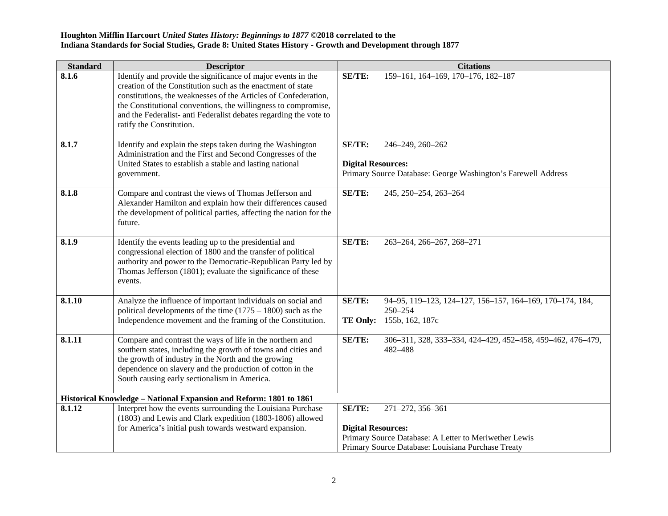| <b>Standard</b> | <b>Descriptor</b>                                                                                                                                                                                                                                                                                                                                                 | <b>Citations</b>                                                                                                                                                       |
|-----------------|-------------------------------------------------------------------------------------------------------------------------------------------------------------------------------------------------------------------------------------------------------------------------------------------------------------------------------------------------------------------|------------------------------------------------------------------------------------------------------------------------------------------------------------------------|
| 8.1.6           | Identify and provide the significance of major events in the<br>creation of the Constitution such as the enactment of state<br>constitutions, the weaknesses of the Articles of Confederation,<br>the Constitutional conventions, the willingness to compromise,<br>and the Federalist- anti Federalist debates regarding the vote to<br>ratify the Constitution. | SE/TE:<br>159-161, 164-169, 170-176, 182-187                                                                                                                           |
| 8.1.7           | Identify and explain the steps taken during the Washington<br>Administration and the First and Second Congresses of the<br>United States to establish a stable and lasting national<br>government.                                                                                                                                                                | SE/TE:<br>246-249, 260-262<br><b>Digital Resources:</b><br>Primary Source Database: George Washington's Farewell Address                                               |
| 8.1.8           | Compare and contrast the views of Thomas Jefferson and<br>Alexander Hamilton and explain how their differences caused<br>the development of political parties, affecting the nation for the<br>future.                                                                                                                                                            | SE/TE:<br>245, 250-254, 263-264                                                                                                                                        |
| 8.1.9           | Identify the events leading up to the presidential and<br>congressional election of 1800 and the transfer of political<br>authority and power to the Democratic-Republican Party led by<br>Thomas Jefferson (1801); evaluate the significance of these<br>events.                                                                                                 | SE/TE:<br>263-264, 266-267, 268-271                                                                                                                                    |
| 8.1.10          | Analyze the influence of important individuals on social and<br>political developments of the time $(1775 - 1800)$ such as the<br>Independence movement and the framing of the Constitution.                                                                                                                                                                      | SE/TE:<br>94-95, 119-123, 124-127, 156-157, 164-169, 170-174, 184,<br>250-254<br>155b, 162, 187c<br><b>TE Only:</b>                                                    |
| 8.1.11          | Compare and contrast the ways of life in the northern and<br>southern states, including the growth of towns and cities and<br>the growth of industry in the North and the growing<br>dependence on slavery and the production of cotton in the<br>South causing early sectionalism in America.                                                                    | SE/TE:<br>306-311, 328, 333-334, 424-429, 452-458, 459-462, 476-479,<br>482-488                                                                                        |
|                 | Historical Knowledge - National Expansion and Reform: 1801 to 1861                                                                                                                                                                                                                                                                                                |                                                                                                                                                                        |
| 8.1.12          | Interpret how the events surrounding the Louisiana Purchase<br>(1803) and Lewis and Clark expedition (1803-1806) allowed<br>for America's initial push towards westward expansion.                                                                                                                                                                                | SE/TE:<br>271-272, 356-361<br><b>Digital Resources:</b><br>Primary Source Database: A Letter to Meriwether Lewis<br>Primary Source Database: Louisiana Purchase Treaty |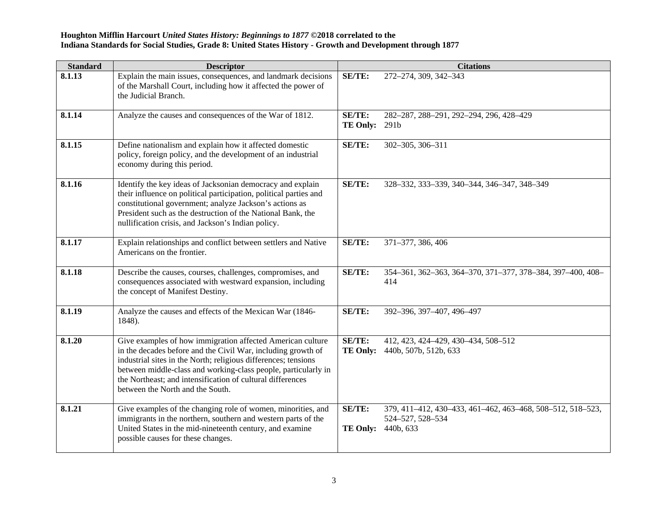| <b>Standard</b> | <b>Descriptor</b>                                                                                                                                                                                                                                                                                                                                                |                                | <b>Citations</b>                                                                            |
|-----------------|------------------------------------------------------------------------------------------------------------------------------------------------------------------------------------------------------------------------------------------------------------------------------------------------------------------------------------------------------------------|--------------------------------|---------------------------------------------------------------------------------------------|
| 8.1.13          | Explain the main issues, consequences, and landmark decisions<br>of the Marshall Court, including how it affected the power of<br>the Judicial Branch.                                                                                                                                                                                                           | <b>SE/TE:</b>                  | 272-274, 309, 342-343                                                                       |
| 8.1.14          | Analyze the causes and consequences of the War of 1812.                                                                                                                                                                                                                                                                                                          | SE/TE:<br><b>TE Only: 291b</b> | 282-287, 288-291, 292-294, 296, 428-429                                                     |
| 8.1.15          | Define nationalism and explain how it affected domestic<br>policy, foreign policy, and the development of an industrial<br>economy during this period.                                                                                                                                                                                                           | SE/TE:                         | 302-305, 306-311                                                                            |
| 8.1.16          | Identify the key ideas of Jacksonian democracy and explain<br>their influence on political participation, political parties and<br>constitutional government; analyze Jackson's actions as<br>President such as the destruction of the National Bank, the<br>nullification crisis, and Jackson's Indian policy.                                                  | SE/TE:                         | 328-332, 333-339, 340-344, 346-347, 348-349                                                 |
| 8.1.17          | Explain relationships and conflict between settlers and Native<br>Americans on the frontier.                                                                                                                                                                                                                                                                     | SE/TE:                         | 371-377, 386, 406                                                                           |
| 8.1.18          | Describe the causes, courses, challenges, compromises, and<br>consequences associated with westward expansion, including<br>the concept of Manifest Destiny.                                                                                                                                                                                                     | SE/TE:                         | 354-361, 362-363, 364-370, 371-377, 378-384, 397-400, 408-<br>414                           |
| 8.1.19          | Analyze the causes and effects of the Mexican War (1846-<br>1848).                                                                                                                                                                                                                                                                                               | SE/TE:                         | 392-396, 397-407, 496-497                                                                   |
| 8.1.20          | Give examples of how immigration affected American culture<br>in the decades before and the Civil War, including growth of<br>industrial sites in the North; religious differences; tensions<br>between middle-class and working-class people, particularly in<br>the Northeast; and intensification of cultural differences<br>between the North and the South. | SE/TE:<br><b>TE Only:</b>      | 412, 423, 424-429, 430-434, 508-512<br>440b, 507b, 512b, 633                                |
| 8.1.21          | Give examples of the changing role of women, minorities, and<br>immigrants in the northern, southern and western parts of the<br>United States in the mid-nineteenth century, and examine<br>possible causes for these changes.                                                                                                                                  | SE/TE:<br><b>TE Only:</b>      | 379, 411-412, 430-433, 461-462, 463-468, 508-512, 518-523,<br>524-527, 528-534<br>440b, 633 |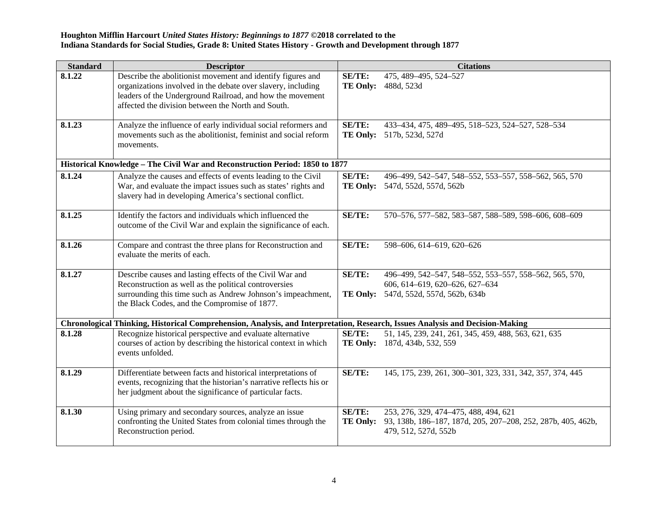| <b>Standard</b> | <b>Descriptor</b>                                                                                                                                                                                                                              |                                  | <b>Citations</b>                                                                                                              |
|-----------------|------------------------------------------------------------------------------------------------------------------------------------------------------------------------------------------------------------------------------------------------|----------------------------------|-------------------------------------------------------------------------------------------------------------------------------|
| 8.1.22          | Describe the abolitionist movement and identify figures and<br>organizations involved in the debate over slavery, including<br>leaders of the Underground Railroad, and how the movement<br>affected the division between the North and South. | <b>SE/TE:</b><br><b>TE Only:</b> | 475, 489-495, 524-527<br>488d, 523d                                                                                           |
| 8.1.23          | Analyze the influence of early individual social reformers and<br>movements such as the abolitionist, feminist and social reform<br>movements.                                                                                                 | SE/TE:                           | 433-434, 475, 489-495, 518-523, 524-527, 528-534<br>TE Only: 517b, 523d, 527d                                                 |
|                 | Historical Knowledge - The Civil War and Reconstruction Period: 1850 to 1877                                                                                                                                                                   |                                  |                                                                                                                               |
| 8.1.24          | Analyze the causes and effects of events leading to the Civil<br>War, and evaluate the impact issues such as states' rights and<br>slavery had in developing America's sectional conflict.                                                     | SE/TE:<br><b>TE Only:</b>        | 496-499, 542-547, 548-552, 553-557, 558-562, 565, 570<br>547d, 552d, 557d, 562b                                               |
| 8.1.25          | Identify the factors and individuals which influenced the<br>outcome of the Civil War and explain the significance of each.                                                                                                                    | SE/TE:                           | 570-576, 577-582, 583-587, 588-589, 598-606, 608-609                                                                          |
| 8.1.26          | Compare and contrast the three plans for Reconstruction and<br>evaluate the merits of each.                                                                                                                                                    | SE/TE:                           | 598-606, 614-619, 620-626                                                                                                     |
| 8.1.27          | Describe causes and lasting effects of the Civil War and<br>Reconstruction as well as the political controversies<br>surrounding this time such as Andrew Johnson's impeachment,<br>the Black Codes, and the Compromise of 1877.               | SE/TE:<br>TE Only:               | 496-499, 542-547, 548-552, 553-557, 558-562, 565, 570,<br>606, 614-619, 620-626, 627-634<br>547d, 552d, 557d, 562b, 634b      |
|                 | Chronological Thinking, Historical Comprehension, Analysis, and Interpretation, Research, Issues Analysis and Decision-Making                                                                                                                  |                                  |                                                                                                                               |
| 8.1.28          | Recognize historical perspective and evaluate alternative<br>courses of action by describing the historical context in which<br>events unfolded.                                                                                               | SE/TE:                           | 51, 145, 239, 241, 261, 345, 459, 488, 563, 621, 635<br>TE Only: 187d, 434b, 532, 559                                         |
| 8.1.29          | Differentiate between facts and historical interpretations of<br>events, recognizing that the historian's narrative reflects his or<br>her judgment about the significance of particular facts.                                                | SE/TE:                           | 145, 175, 239, 261, 300-301, 323, 331, 342, 357, 374, 445                                                                     |
| 8.1.30          | Using primary and secondary sources, analyze an issue<br>confronting the United States from colonial times through the<br>Reconstruction period.                                                                                               | SE/TE:<br><b>TE Only:</b>        | 253, 276, 329, 474-475, 488, 494, 621<br>93, 138b, 186-187, 187d, 205, 207-208, 252, 287b, 405, 462b,<br>479, 512, 527d, 552b |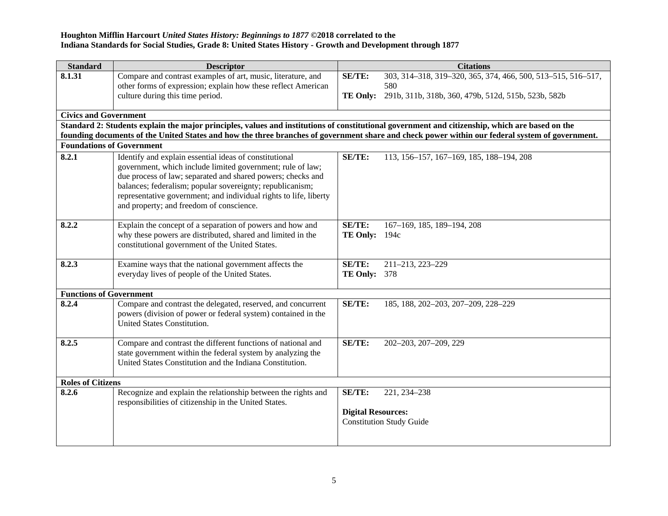| <b>Standard</b>                  | <b>Descriptor</b>                                                                                                                               |                           | <b>Citations</b>                                             |
|----------------------------------|-------------------------------------------------------------------------------------------------------------------------------------------------|---------------------------|--------------------------------------------------------------|
| 8.1.31                           | Compare and contrast examples of art, music, literature, and                                                                                    | <b>SE/TE:</b>             | 303, 314-318, 319-320, 365, 374, 466, 500, 513-515, 516-517, |
|                                  | other forms of expression; explain how these reflect American                                                                                   |                           | 580                                                          |
|                                  | culture during this time period.                                                                                                                | TE Only:                  | 291b, 311b, 318b, 360, 479b, 512d, 515b, 523b, 582b          |
| <b>Civics and Government</b>     |                                                                                                                                                 |                           |                                                              |
|                                  | Standard 2: Students explain the major principles, values and institutions of constitutional government and citizenship, which are based on the |                           |                                                              |
|                                  | founding documents of the United States and how the three branches of government share and check power within our federal system of government. |                           |                                                              |
| <b>Foundations of Government</b> |                                                                                                                                                 |                           |                                                              |
| 8.2.1                            | Identify and explain essential ideas of constitutional<br>government, which include limited government; rule of law;                            | <b>SE/TE:</b>             | 113, 156-157, 167-169, 185, 188-194, 208                     |
|                                  | due process of law; separated and shared powers; checks and                                                                                     |                           |                                                              |
|                                  | balances; federalism; popular sovereignty; republicanism;<br>representative government; and individual rights to life, liberty                  |                           |                                                              |
|                                  | and property; and freedom of conscience.                                                                                                        |                           |                                                              |
|                                  |                                                                                                                                                 |                           |                                                              |
| 8.2.2                            | Explain the concept of a separation of powers and how and                                                                                       | <b>SE/TE:</b>             | 167-169, 185, 189-194, 208                                   |
|                                  | why these powers are distributed, shared and limited in the                                                                                     | <b>TE Only:</b> 194c      |                                                              |
|                                  | constitutional government of the United States.                                                                                                 |                           |                                                              |
|                                  |                                                                                                                                                 | <b>SE/TE:</b>             |                                                              |
| 8.2.3                            | Examine ways that the national government affects the<br>everyday lives of people of the United States.                                         | <b>TE Only: 378</b>       | 211-213, 223-229                                             |
|                                  |                                                                                                                                                 |                           |                                                              |
| <b>Functions of Government</b>   |                                                                                                                                                 |                           |                                                              |
| 8.2.4                            | Compare and contrast the delegated, reserved, and concurrent                                                                                    | <b>SE/TE:</b>             | 185, 188, 202-203, 207-209, 228-229                          |
|                                  | powers (division of power or federal system) contained in the                                                                                   |                           |                                                              |
|                                  | United States Constitution.                                                                                                                     |                           |                                                              |
| 8.2.5                            | Compare and contrast the different functions of national and                                                                                    | <b>SE/TE:</b>             | 202-203, 207-209, 229                                        |
|                                  | state government within the federal system by analyzing the                                                                                     |                           |                                                              |
|                                  | United States Constitution and the Indiana Constitution.                                                                                        |                           |                                                              |
|                                  |                                                                                                                                                 |                           |                                                              |
| <b>Roles of Citizens</b>         |                                                                                                                                                 |                           |                                                              |
| 8.2.6                            | Recognize and explain the relationship between the rights and<br>responsibilities of citizenship in the United States.                          | SE/TE:                    | 221, 234-238                                                 |
|                                  |                                                                                                                                                 | <b>Digital Resources:</b> |                                                              |
|                                  |                                                                                                                                                 |                           | <b>Constitution Study Guide</b>                              |
|                                  |                                                                                                                                                 |                           |                                                              |
|                                  |                                                                                                                                                 |                           |                                                              |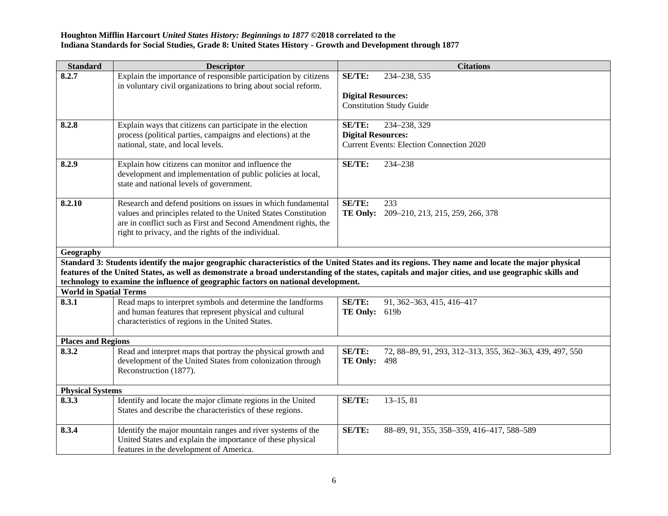| Explain the importance of responsible participation by citizens<br>8.2.7<br>SE/TE:<br>234-238, 535<br>in voluntary civil organizations to bring about social reform.<br><b>Digital Resources:</b><br><b>Constitution Study Guide</b><br>8.2.8<br>Explain ways that citizens can participate in the election<br><b>SE/TE:</b><br>234-238, 329<br>process (political parties, campaigns and elections) at the<br><b>Digital Resources:</b><br>national, state, and local levels.<br><b>Current Events: Election Connection 2020</b><br>Explain how citizens can monitor and influence the<br>8.2.9<br>SE/TE:<br>234-238<br>development and implementation of public policies at local,<br>state and national levels of government.<br>SE/TE:<br>8.2.10<br>Research and defend positions on issues in which fundamental<br>233<br>values and principles related to the United States Constitution<br><b>TE Only:</b><br>209-210, 213, 215, 259, 266, 378<br>are in conflict such as First and Second Amendment rights, the<br>right to privacy, and the rights of the individual.<br>Geography<br>Standard 3: Students identify the major geographic characteristics of the United States and its regions. They name and locate the major physical<br>features of the United States, as well as demonstrate a broad understanding of the states, capitals and major cities, and use geographic skills and<br>technology to examine the influence of geographic factors on national development.<br><b>World in Spatial Terms</b><br>8.3.1<br>Read maps to interpret symbols and determine the landforms<br>SE/TE:<br>91, 362-363, 415, 416-417<br>and human features that represent physical and cultural<br><b>TE Only:</b> 619b |                                                                                                                                             |  |
|--------------------------------------------------------------------------------------------------------------------------------------------------------------------------------------------------------------------------------------------------------------------------------------------------------------------------------------------------------------------------------------------------------------------------------------------------------------------------------------------------------------------------------------------------------------------------------------------------------------------------------------------------------------------------------------------------------------------------------------------------------------------------------------------------------------------------------------------------------------------------------------------------------------------------------------------------------------------------------------------------------------------------------------------------------------------------------------------------------------------------------------------------------------------------------------------------------------------------------------------------------------------------------------------------------------------------------------------------------------------------------------------------------------------------------------------------------------------------------------------------------------------------------------------------------------------------------------------------------------------------------------------------------------------------------------------------------------------------------|---------------------------------------------------------------------------------------------------------------------------------------------|--|
|                                                                                                                                                                                                                                                                                                                                                                                                                                                                                                                                                                                                                                                                                                                                                                                                                                                                                                                                                                                                                                                                                                                                                                                                                                                                                                                                                                                                                                                                                                                                                                                                                                                                                                                                |                                                                                                                                             |  |
|                                                                                                                                                                                                                                                                                                                                                                                                                                                                                                                                                                                                                                                                                                                                                                                                                                                                                                                                                                                                                                                                                                                                                                                                                                                                                                                                                                                                                                                                                                                                                                                                                                                                                                                                |                                                                                                                                             |  |
|                                                                                                                                                                                                                                                                                                                                                                                                                                                                                                                                                                                                                                                                                                                                                                                                                                                                                                                                                                                                                                                                                                                                                                                                                                                                                                                                                                                                                                                                                                                                                                                                                                                                                                                                |                                                                                                                                             |  |
|                                                                                                                                                                                                                                                                                                                                                                                                                                                                                                                                                                                                                                                                                                                                                                                                                                                                                                                                                                                                                                                                                                                                                                                                                                                                                                                                                                                                                                                                                                                                                                                                                                                                                                                                |                                                                                                                                             |  |
|                                                                                                                                                                                                                                                                                                                                                                                                                                                                                                                                                                                                                                                                                                                                                                                                                                                                                                                                                                                                                                                                                                                                                                                                                                                                                                                                                                                                                                                                                                                                                                                                                                                                                                                                |                                                                                                                                             |  |
|                                                                                                                                                                                                                                                                                                                                                                                                                                                                                                                                                                                                                                                                                                                                                                                                                                                                                                                                                                                                                                                                                                                                                                                                                                                                                                                                                                                                                                                                                                                                                                                                                                                                                                                                |                                                                                                                                             |  |
|                                                                                                                                                                                                                                                                                                                                                                                                                                                                                                                                                                                                                                                                                                                                                                                                                                                                                                                                                                                                                                                                                                                                                                                                                                                                                                                                                                                                                                                                                                                                                                                                                                                                                                                                |                                                                                                                                             |  |
|                                                                                                                                                                                                                                                                                                                                                                                                                                                                                                                                                                                                                                                                                                                                                                                                                                                                                                                                                                                                                                                                                                                                                                                                                                                                                                                                                                                                                                                                                                                                                                                                                                                                                                                                |                                                                                                                                             |  |
|                                                                                                                                                                                                                                                                                                                                                                                                                                                                                                                                                                                                                                                                                                                                                                                                                                                                                                                                                                                                                                                                                                                                                                                                                                                                                                                                                                                                                                                                                                                                                                                                                                                                                                                                |                                                                                                                                             |  |
|                                                                                                                                                                                                                                                                                                                                                                                                                                                                                                                                                                                                                                                                                                                                                                                                                                                                                                                                                                                                                                                                                                                                                                                                                                                                                                                                                                                                                                                                                                                                                                                                                                                                                                                                |                                                                                                                                             |  |
|                                                                                                                                                                                                                                                                                                                                                                                                                                                                                                                                                                                                                                                                                                                                                                                                                                                                                                                                                                                                                                                                                                                                                                                                                                                                                                                                                                                                                                                                                                                                                                                                                                                                                                                                |                                                                                                                                             |  |
|                                                                                                                                                                                                                                                                                                                                                                                                                                                                                                                                                                                                                                                                                                                                                                                                                                                                                                                                                                                                                                                                                                                                                                                                                                                                                                                                                                                                                                                                                                                                                                                                                                                                                                                                |                                                                                                                                             |  |
|                                                                                                                                                                                                                                                                                                                                                                                                                                                                                                                                                                                                                                                                                                                                                                                                                                                                                                                                                                                                                                                                                                                                                                                                                                                                                                                                                                                                                                                                                                                                                                                                                                                                                                                                |                                                                                                                                             |  |
|                                                                                                                                                                                                                                                                                                                                                                                                                                                                                                                                                                                                                                                                                                                                                                                                                                                                                                                                                                                                                                                                                                                                                                                                                                                                                                                                                                                                                                                                                                                                                                                                                                                                                                                                |                                                                                                                                             |  |
|                                                                                                                                                                                                                                                                                                                                                                                                                                                                                                                                                                                                                                                                                                                                                                                                                                                                                                                                                                                                                                                                                                                                                                                                                                                                                                                                                                                                                                                                                                                                                                                                                                                                                                                                |                                                                                                                                             |  |
|                                                                                                                                                                                                                                                                                                                                                                                                                                                                                                                                                                                                                                                                                                                                                                                                                                                                                                                                                                                                                                                                                                                                                                                                                                                                                                                                                                                                                                                                                                                                                                                                                                                                                                                                |                                                                                                                                             |  |
|                                                                                                                                                                                                                                                                                                                                                                                                                                                                                                                                                                                                                                                                                                                                                                                                                                                                                                                                                                                                                                                                                                                                                                                                                                                                                                                                                                                                                                                                                                                                                                                                                                                                                                                                |                                                                                                                                             |  |
|                                                                                                                                                                                                                                                                                                                                                                                                                                                                                                                                                                                                                                                                                                                                                                                                                                                                                                                                                                                                                                                                                                                                                                                                                                                                                                                                                                                                                                                                                                                                                                                                                                                                                                                                |                                                                                                                                             |  |
|                                                                                                                                                                                                                                                                                                                                                                                                                                                                                                                                                                                                                                                                                                                                                                                                                                                                                                                                                                                                                                                                                                                                                                                                                                                                                                                                                                                                                                                                                                                                                                                                                                                                                                                                |                                                                                                                                             |  |
|                                                                                                                                                                                                                                                                                                                                                                                                                                                                                                                                                                                                                                                                                                                                                                                                                                                                                                                                                                                                                                                                                                                                                                                                                                                                                                                                                                                                                                                                                                                                                                                                                                                                                                                                |                                                                                                                                             |  |
|                                                                                                                                                                                                                                                                                                                                                                                                                                                                                                                                                                                                                                                                                                                                                                                                                                                                                                                                                                                                                                                                                                                                                                                                                                                                                                                                                                                                                                                                                                                                                                                                                                                                                                                                |                                                                                                                                             |  |
|                                                                                                                                                                                                                                                                                                                                                                                                                                                                                                                                                                                                                                                                                                                                                                                                                                                                                                                                                                                                                                                                                                                                                                                                                                                                                                                                                                                                                                                                                                                                                                                                                                                                                                                                |                                                                                                                                             |  |
|                                                                                                                                                                                                                                                                                                                                                                                                                                                                                                                                                                                                                                                                                                                                                                                                                                                                                                                                                                                                                                                                                                                                                                                                                                                                                                                                                                                                                                                                                                                                                                                                                                                                                                                                |                                                                                                                                             |  |
|                                                                                                                                                                                                                                                                                                                                                                                                                                                                                                                                                                                                                                                                                                                                                                                                                                                                                                                                                                                                                                                                                                                                                                                                                                                                                                                                                                                                                                                                                                                                                                                                                                                                                                                                | 8.3.2<br>Read and interpret maps that portray the physical growth and<br>SE/TE:<br>72, 88-89, 91, 293, 312-313, 355, 362-363, 439, 497, 550 |  |
|                                                                                                                                                                                                                                                                                                                                                                                                                                                                                                                                                                                                                                                                                                                                                                                                                                                                                                                                                                                                                                                                                                                                                                                                                                                                                                                                                                                                                                                                                                                                                                                                                                                                                                                                | development of the United States from colonization through<br><b>TE Only: 498</b>                                                           |  |
|                                                                                                                                                                                                                                                                                                                                                                                                                                                                                                                                                                                                                                                                                                                                                                                                                                                                                                                                                                                                                                                                                                                                                                                                                                                                                                                                                                                                                                                                                                                                                                                                                                                                                                                                |                                                                                                                                             |  |
| Reconstruction (1877).                                                                                                                                                                                                                                                                                                                                                                                                                                                                                                                                                                                                                                                                                                                                                                                                                                                                                                                                                                                                                                                                                                                                                                                                                                                                                                                                                                                                                                                                                                                                                                                                                                                                                                         |                                                                                                                                             |  |
|                                                                                                                                                                                                                                                                                                                                                                                                                                                                                                                                                                                                                                                                                                                                                                                                                                                                                                                                                                                                                                                                                                                                                                                                                                                                                                                                                                                                                                                                                                                                                                                                                                                                                                                                | 8.3.3<br>SE/TE:                                                                                                                             |  |
| <b>Physical Systems</b><br>$13-15, 81$                                                                                                                                                                                                                                                                                                                                                                                                                                                                                                                                                                                                                                                                                                                                                                                                                                                                                                                                                                                                                                                                                                                                                                                                                                                                                                                                                                                                                                                                                                                                                                                                                                                                                         | States and describe the characteristics of these regions.                                                                                   |  |
| Identify and locate the major climate regions in the United                                                                                                                                                                                                                                                                                                                                                                                                                                                                                                                                                                                                                                                                                                                                                                                                                                                                                                                                                                                                                                                                                                                                                                                                                                                                                                                                                                                                                                                                                                                                                                                                                                                                    |                                                                                                                                             |  |
|                                                                                                                                                                                                                                                                                                                                                                                                                                                                                                                                                                                                                                                                                                                                                                                                                                                                                                                                                                                                                                                                                                                                                                                                                                                                                                                                                                                                                                                                                                                                                                                                                                                                                                                                |                                                                                                                                             |  |
| Identify the major mountain ranges and river systems of the<br>SE/TE:<br>8.3.4<br>88-89, 91, 355, 358-359, 416-417, 588-589                                                                                                                                                                                                                                                                                                                                                                                                                                                                                                                                                                                                                                                                                                                                                                                                                                                                                                                                                                                                                                                                                                                                                                                                                                                                                                                                                                                                                                                                                                                                                                                                    |                                                                                                                                             |  |
|                                                                                                                                                                                                                                                                                                                                                                                                                                                                                                                                                                                                                                                                                                                                                                                                                                                                                                                                                                                                                                                                                                                                                                                                                                                                                                                                                                                                                                                                                                                                                                                                                                                                                                                                | characteristics of regions in the United States.<br><b>Places and Regions</b>                                                               |  |
|                                                                                                                                                                                                                                                                                                                                                                                                                                                                                                                                                                                                                                                                                                                                                                                                                                                                                                                                                                                                                                                                                                                                                                                                                                                                                                                                                                                                                                                                                                                                                                                                                                                                                                                                |                                                                                                                                             |  |
|                                                                                                                                                                                                                                                                                                                                                                                                                                                                                                                                                                                                                                                                                                                                                                                                                                                                                                                                                                                                                                                                                                                                                                                                                                                                                                                                                                                                                                                                                                                                                                                                                                                                                                                                |                                                                                                                                             |  |
|                                                                                                                                                                                                                                                                                                                                                                                                                                                                                                                                                                                                                                                                                                                                                                                                                                                                                                                                                                                                                                                                                                                                                                                                                                                                                                                                                                                                                                                                                                                                                                                                                                                                                                                                |                                                                                                                                             |  |
|                                                                                                                                                                                                                                                                                                                                                                                                                                                                                                                                                                                                                                                                                                                                                                                                                                                                                                                                                                                                                                                                                                                                                                                                                                                                                                                                                                                                                                                                                                                                                                                                                                                                                                                                |                                                                                                                                             |  |
|                                                                                                                                                                                                                                                                                                                                                                                                                                                                                                                                                                                                                                                                                                                                                                                                                                                                                                                                                                                                                                                                                                                                                                                                                                                                                                                                                                                                                                                                                                                                                                                                                                                                                                                                |                                                                                                                                             |  |
|                                                                                                                                                                                                                                                                                                                                                                                                                                                                                                                                                                                                                                                                                                                                                                                                                                                                                                                                                                                                                                                                                                                                                                                                                                                                                                                                                                                                                                                                                                                                                                                                                                                                                                                                |                                                                                                                                             |  |
|                                                                                                                                                                                                                                                                                                                                                                                                                                                                                                                                                                                                                                                                                                                                                                                                                                                                                                                                                                                                                                                                                                                                                                                                                                                                                                                                                                                                                                                                                                                                                                                                                                                                                                                                |                                                                                                                                             |  |
|                                                                                                                                                                                                                                                                                                                                                                                                                                                                                                                                                                                                                                                                                                                                                                                                                                                                                                                                                                                                                                                                                                                                                                                                                                                                                                                                                                                                                                                                                                                                                                                                                                                                                                                                |                                                                                                                                             |  |
|                                                                                                                                                                                                                                                                                                                                                                                                                                                                                                                                                                                                                                                                                                                                                                                                                                                                                                                                                                                                                                                                                                                                                                                                                                                                                                                                                                                                                                                                                                                                                                                                                                                                                                                                |                                                                                                                                             |  |
|                                                                                                                                                                                                                                                                                                                                                                                                                                                                                                                                                                                                                                                                                                                                                                                                                                                                                                                                                                                                                                                                                                                                                                                                                                                                                                                                                                                                                                                                                                                                                                                                                                                                                                                                |                                                                                                                                             |  |
|                                                                                                                                                                                                                                                                                                                                                                                                                                                                                                                                                                                                                                                                                                                                                                                                                                                                                                                                                                                                                                                                                                                                                                                                                                                                                                                                                                                                                                                                                                                                                                                                                                                                                                                                |                                                                                                                                             |  |
| United States and explain the importance of these physical                                                                                                                                                                                                                                                                                                                                                                                                                                                                                                                                                                                                                                                                                                                                                                                                                                                                                                                                                                                                                                                                                                                                                                                                                                                                                                                                                                                                                                                                                                                                                                                                                                                                     |                                                                                                                                             |  |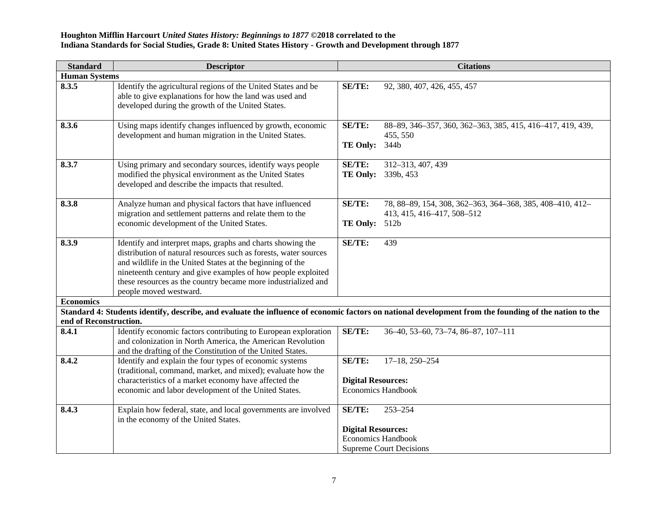| Standard               | <b>Descriptor</b>                                                                                                                                                                                                                                                                                                                                      |                                            | <b>Citations</b>                                                                        |
|------------------------|--------------------------------------------------------------------------------------------------------------------------------------------------------------------------------------------------------------------------------------------------------------------------------------------------------------------------------------------------------|--------------------------------------------|-----------------------------------------------------------------------------------------|
| <b>Human Systems</b>   |                                                                                                                                                                                                                                                                                                                                                        |                                            |                                                                                         |
| 8.3.5                  | Identify the agricultural regions of the United States and be<br>able to give explanations for how the land was used and<br>developed during the growth of the United States.                                                                                                                                                                          | <b>SE/TE:</b>                              | 92, 380, 407, 426, 455, 457                                                             |
| 8.3.6                  | Using maps identify changes influenced by growth, economic<br>development and human migration in the United States.                                                                                                                                                                                                                                    | <b>SE/TE:</b><br><b>TE Only:</b>           | 88-89, 346-357, 360, 362-363, 385, 415, 416-417, 419, 439,<br>455, 550<br>344b          |
| 8.3.7                  | Using primary and secondary sources, identify ways people<br>modified the physical environment as the United States<br>developed and describe the impacts that resulted.                                                                                                                                                                               | <b>SE/TE:</b>                              | 312-313, 407, 439<br>TE Only: 339b, 453                                                 |
| 8.3.8                  | Analyze human and physical factors that have influenced<br>migration and settlement patterns and relate them to the<br>economic development of the United States.                                                                                                                                                                                      | <b>SE/TE:</b><br>TE Only: 512b             | 78, 88-89, 154, 308, 362-363, 364-368, 385, 408-410, 412-<br>413, 415, 416-417, 508-512 |
| 8.3.9                  | Identify and interpret maps, graphs and charts showing the<br>distribution of natural resources such as forests, water sources<br>and wildlife in the United States at the beginning of the<br>nineteenth century and give examples of how people exploited<br>these resources as the country became more industrialized and<br>people moved westward. | SE/TE:                                     | 439                                                                                     |
| <b>Economics</b>       |                                                                                                                                                                                                                                                                                                                                                        |                                            |                                                                                         |
| end of Reconstruction. | Standard 4: Students identify, describe, and evaluate the influence of economic factors on national development from the founding of the nation to the                                                                                                                                                                                                 |                                            |                                                                                         |
| 8.4.1                  | Identify economic factors contributing to European exploration<br>and colonization in North America, the American Revolution<br>and the drafting of the Constitution of the United States.                                                                                                                                                             | SE/TE:                                     | 36-40, 53-60, 73-74, 86-87, 107-111                                                     |
| 8.4.2                  | Identify and explain the four types of economic systems<br>(traditional, command, market, and mixed); evaluate how the<br>characteristics of a market economy have affected the<br>economic and labor development of the United States.                                                                                                                | <b>SE/TE:</b><br><b>Digital Resources:</b> | $17-18$ , $250-254$<br><b>Economics Handbook</b>                                        |
| 8.4.3                  | Explain how federal, state, and local governments are involved<br>in the economy of the United States.                                                                                                                                                                                                                                                 | SE/TE:<br><b>Digital Resources:</b>        | 253-254<br><b>Economics Handbook</b><br><b>Supreme Court Decisions</b>                  |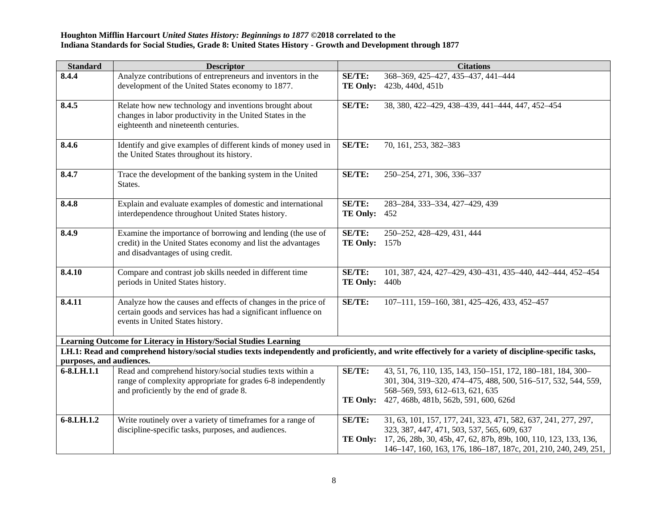| <b>Standard</b>          | <b>Descriptor</b>                                                                                                                                                                                                            |                                  | <b>Citations</b>                                                          |
|--------------------------|------------------------------------------------------------------------------------------------------------------------------------------------------------------------------------------------------------------------------|----------------------------------|---------------------------------------------------------------------------|
| 8.4.4                    | Analyze contributions of entrepreneurs and inventors in the                                                                                                                                                                  | <b>SE/TE:</b>                    | 368-369, 425-427, 435-437, 441-444                                        |
|                          | development of the United States economy to 1877.                                                                                                                                                                            | TE Only:                         | 423b, 440d, 451b                                                          |
|                          |                                                                                                                                                                                                                              |                                  |                                                                           |
| 8.4.5                    | Relate how new technology and inventions brought about                                                                                                                                                                       | <b>SE/TE:</b>                    | 38, 380, 422-429, 438-439, 441-444, 447, 452-454                          |
|                          | changes in labor productivity in the United States in the<br>eighteenth and nineteenth centuries.                                                                                                                            |                                  |                                                                           |
|                          |                                                                                                                                                                                                                              |                                  |                                                                           |
| 8.4.6                    | Identify and give examples of different kinds of money used in                                                                                                                                                               | <b>SE/TE:</b>                    | 70, 161, 253, 382-383                                                     |
|                          | the United States throughout its history.                                                                                                                                                                                    |                                  |                                                                           |
|                          |                                                                                                                                                                                                                              |                                  |                                                                           |
| 8.4.7                    | Trace the development of the banking system in the United                                                                                                                                                                    | <b>SE/TE:</b>                    | 250-254, 271, 306, 336-337                                                |
|                          | States.                                                                                                                                                                                                                      |                                  |                                                                           |
| 8.4.8                    | Explain and evaluate examples of domestic and international                                                                                                                                                                  | <b>SE/TE:</b>                    | 283-284, 333-334, 427-429, 439                                            |
|                          | interdependence throughout United States history.                                                                                                                                                                            | <b>TE Only:</b>                  | 452                                                                       |
|                          |                                                                                                                                                                                                                              |                                  |                                                                           |
| 8.4.9                    | Examine the importance of borrowing and lending (the use of                                                                                                                                                                  | <b>SE/TE:</b>                    | 250-252, 428-429, 431, 444                                                |
|                          | credit) in the United States economy and list the advantages                                                                                                                                                                 | <b>TE Only:</b> 157b             |                                                                           |
|                          | and disadvantages of using credit.                                                                                                                                                                                           |                                  |                                                                           |
|                          |                                                                                                                                                                                                                              |                                  |                                                                           |
| 8.4.10                   | Compare and contrast job skills needed in different time<br>periods in United States history.                                                                                                                                | <b>SE/TE:</b><br><b>TE Only:</b> | 101, 387, 424, 427-429, 430-431, 435-440, 442-444, 452-454<br>440b        |
|                          |                                                                                                                                                                                                                              |                                  |                                                                           |
| 8.4.11                   | Analyze how the causes and effects of changes in the price of                                                                                                                                                                | <b>SE/TE:</b>                    | 107-111, 159-160, 381, 425-426, 433, 452-457                              |
|                          | certain goods and services has had a significant influence on                                                                                                                                                                |                                  |                                                                           |
|                          | events in United States history.                                                                                                                                                                                             |                                  |                                                                           |
|                          |                                                                                                                                                                                                                              |                                  |                                                                           |
|                          | Learning Outcome for Literacy in History/Social Studies Learning<br>LH.1: Read and comprehend history/social studies texts independently and proficiently, and write effectively for a variety of discipline-specific tasks, |                                  |                                                                           |
| purposes, and audiences. |                                                                                                                                                                                                                              |                                  |                                                                           |
| 6-8.LH.1.1               | Read and comprehend history/social studies texts within a                                                                                                                                                                    | <b>SE/TE:</b>                    | 43, 51, 76, 110, 135, 143, 150-151, 172, 180-181, 184, 300-               |
|                          | range of complexity appropriate for grades 6-8 independently                                                                                                                                                                 |                                  | 301, 304, 319-320, 474-475, 488, 500, 516-517, 532, 544, 559,             |
|                          | and proficiently by the end of grade 8.                                                                                                                                                                                      |                                  | 568-569, 593, 612-613, 621, 635                                           |
|                          |                                                                                                                                                                                                                              |                                  | TE Only: 427, 468b, 481b, 562b, 591, 600, 626d                            |
|                          |                                                                                                                                                                                                                              |                                  |                                                                           |
| 6-8.LH.1.2               | Write routinely over a variety of timeframes for a range of                                                                                                                                                                  | <b>SE/TE:</b>                    | 31, 63, 101, 157, 177, 241, 323, 471, 582, 637, 241, 277, 297,            |
|                          | discipline-specific tasks, purposes, and audiences.                                                                                                                                                                          |                                  | 323, 387, 447, 471, 503, 537, 565, 609, 637                               |
|                          |                                                                                                                                                                                                                              |                                  | TE Only: 17, 26, 28b, 30, 45b, 47, 62, 87b, 89b, 100, 110, 123, 133, 136, |
|                          |                                                                                                                                                                                                                              |                                  | 146–147, 160, 163, 176, 186–187, 187c, 201, 210, 240, 249, 251,           |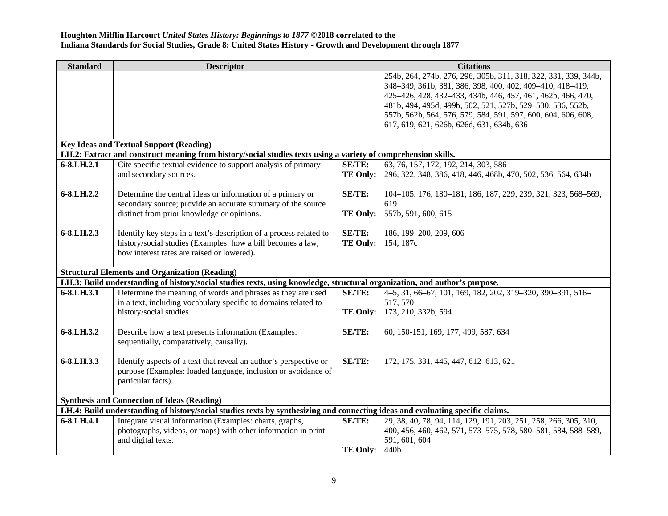| <b>Standard</b> | <b>Descriptor</b>                                                                                                              |                 | <b>Citations</b>                                                      |
|-----------------|--------------------------------------------------------------------------------------------------------------------------------|-----------------|-----------------------------------------------------------------------|
|                 |                                                                                                                                |                 | 254b, 264, 274b, 276, 296, 305b, 311, 318, 322, 331, 339, 344b,       |
|                 |                                                                                                                                |                 | 348-349, 361b, 381, 386, 398, 400, 402, 409-410, 418-419,             |
|                 |                                                                                                                                |                 | 425-426, 428, 432-433, 434b, 446, 457, 461, 462b, 466, 470,           |
|                 |                                                                                                                                |                 | 481b, 494, 495d, 499b, 502, 521, 527b, 529-530, 536, 552b,            |
|                 |                                                                                                                                |                 | 557b, 562b, 564, 576, 579, 584, 591, 597, 600, 604, 606, 608,         |
|                 |                                                                                                                                |                 | 617, 619, 621, 626b, 626d, 631, 634b, 636                             |
|                 |                                                                                                                                |                 |                                                                       |
|                 | <b>Key Ideas and Textual Support (Reading)</b>                                                                                 |                 |                                                                       |
|                 | LH.2: Extract and construct meaning from history/social studies texts using a variety of comprehension skills.                 |                 |                                                                       |
| 6-8.LH.2.1      | Cite specific textual evidence to support analysis of primary                                                                  | SE/TE:          | 63, 76, 157, 172, 192, 214, 303, 586                                  |
|                 | and secondary sources.                                                                                                         |                 | TE Only: 296, 322, 348, 386, 418, 446, 468b, 470, 502, 536, 564, 634b |
|                 |                                                                                                                                |                 |                                                                       |
| 6-8.LH.2.2      | Determine the central ideas or information of a primary or                                                                     | SE/TE:          | 104-105, 176, 180-181, 186, 187, 229, 239, 321, 323, 568-569,         |
|                 | secondary source; provide an accurate summary of the source                                                                    |                 | 619                                                                   |
|                 | distinct from prior knowledge or opinions.                                                                                     |                 | TE Only: 557b, 591, 600, 615                                          |
|                 |                                                                                                                                |                 |                                                                       |
| 6-8.LH.2.3      | Identify key steps in a text's description of a process related to                                                             | <b>SE/TE:</b>   | 186, 199-200, 209, 606                                                |
|                 | history/social studies (Examples: how a bill becomes a law,                                                                    |                 | <b>TE Only:</b> 154, 187c                                             |
|                 | how interest rates are raised or lowered).                                                                                     |                 |                                                                       |
|                 |                                                                                                                                |                 |                                                                       |
|                 | <b>Structural Elements and Organization (Reading)</b>                                                                          |                 |                                                                       |
|                 | LH.3: Build understanding of history/social studies texts, using knowledge, structural organization, and author's purpose.     |                 |                                                                       |
| 6-8.LH.3.1      | Determine the meaning of words and phrases as they are used                                                                    | SE/TE:          | 4-5, 31, 66-67, 101, 169, 182, 202, 319-320, 390-391, 516-            |
|                 | in a text, including vocabulary specific to domains related to                                                                 |                 | 517, 570                                                              |
|                 | history/social studies.                                                                                                        |                 | TE Only: 173, 210, 332b, 594                                          |
|                 |                                                                                                                                |                 |                                                                       |
| 6-8.LH.3.2      | Describe how a text presents information (Examples:                                                                            | SE/TE:          | 60, 150-151, 169, 177, 499, 587, 634                                  |
|                 | sequentially, comparatively, causally).                                                                                        |                 |                                                                       |
|                 |                                                                                                                                |                 |                                                                       |
| 6-8.LH.3.3      | Identify aspects of a text that reveal an author's perspective or                                                              | SE/TE:          | 172, 175, 331, 445, 447, 612-613, 621                                 |
|                 | purpose (Examples: loaded language, inclusion or avoidance of                                                                  |                 |                                                                       |
|                 | particular facts).                                                                                                             |                 |                                                                       |
|                 |                                                                                                                                |                 |                                                                       |
|                 | <b>Synthesis and Connection of Ideas (Reading)</b>                                                                             |                 |                                                                       |
|                 | LH.4: Build understanding of history/social studies texts by synthesizing and connecting ideas and evaluating specific claims. |                 |                                                                       |
| 6-8.LH.4.1      | Integrate visual information (Examples: charts, graphs,                                                                        | SE/TE:          | 29, 38, 40, 78, 94, 114, 129, 191, 203, 251, 258, 266, 305, 310,      |
|                 | photographs, videos, or maps) with other information in print                                                                  |                 | 400, 456, 460, 462, 571, 573-575, 578, 580-581, 584, 588-589,         |
|                 | and digital texts.                                                                                                             |                 | 591, 601, 604                                                         |
|                 |                                                                                                                                | <b>TE Only:</b> | 440b                                                                  |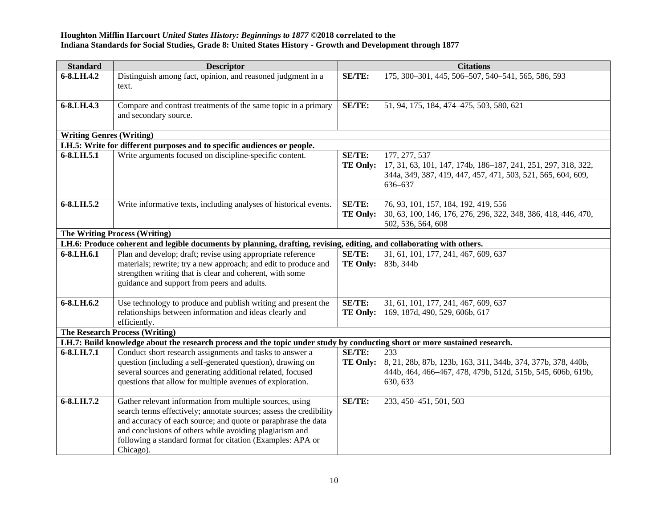| <b>Standard</b>                 | <b>Descriptor</b>                                                                                                                                                                                                                                                                                                                     |                                  | <b>Citations</b>                                                                                                                                          |
|---------------------------------|---------------------------------------------------------------------------------------------------------------------------------------------------------------------------------------------------------------------------------------------------------------------------------------------------------------------------------------|----------------------------------|-----------------------------------------------------------------------------------------------------------------------------------------------------------|
| 6-8.LH.4.2                      | Distinguish among fact, opinion, and reasoned judgment in a<br>text.                                                                                                                                                                                                                                                                  | <b>SE/TE:</b>                    | 175, 300-301, 445, 506-507, 540-541, 565, 586, 593                                                                                                        |
| 6-8.LH.4.3                      | Compare and contrast treatments of the same topic in a primary<br>and secondary source.                                                                                                                                                                                                                                               | SE/TE:                           | 51, 94, 175, 184, 474-475, 503, 580, 621                                                                                                                  |
| <b>Writing Genres (Writing)</b> |                                                                                                                                                                                                                                                                                                                                       |                                  |                                                                                                                                                           |
|                                 | LH.5: Write for different purposes and to specific audiences or people.                                                                                                                                                                                                                                                               |                                  |                                                                                                                                                           |
| 6-8.LH.5.1                      | Write arguments focused on discipline-specific content.                                                                                                                                                                                                                                                                               | <b>SE/TE:</b><br>TE Only:        | 177, 277, 537<br>17, 31, 63, 101, 147, 174b, 186-187, 241, 251, 297, 318, 322,<br>344a, 349, 387, 419, 447, 457, 471, 503, 521, 565, 604, 609,<br>636-637 |
| 6-8.LH.5.2                      | Write informative texts, including analyses of historical events.                                                                                                                                                                                                                                                                     | <b>SE/TE:</b><br><b>TE Only:</b> | 76, 93, 101, 157, 184, 192, 419, 556<br>30, 63, 100, 146, 176, 276, 296, 322, 348, 386, 418, 446, 470,<br>502, 536, 564, 608                              |
|                                 | <b>The Writing Process (Writing)</b>                                                                                                                                                                                                                                                                                                  |                                  |                                                                                                                                                           |
|                                 | LH.6: Produce coherent and legible documents by planning, drafting, revising, editing, and collaborating with others.                                                                                                                                                                                                                 |                                  |                                                                                                                                                           |
| 6-8.LH.6.1                      | Plan and develop; draft; revise using appropriate reference<br>materials; rewrite; try a new approach; and edit to produce and<br>strengthen writing that is clear and coherent, with some<br>guidance and support from peers and adults.                                                                                             | SE/TE:                           | 31, 61, 101, 177, 241, 467, 609, 637<br>TE Only: 83b, 344b                                                                                                |
| 6-8.LH.6.2                      | Use technology to produce and publish writing and present the<br>relationships between information and ideas clearly and<br>efficiently.                                                                                                                                                                                              | <b>SE/TE:</b><br><b>TE Only:</b> | 31, 61, 101, 177, 241, 467, 609, 637<br>169, 187d, 490, 529, 606b, 617                                                                                    |
|                                 | <b>The Research Process (Writing)</b>                                                                                                                                                                                                                                                                                                 |                                  |                                                                                                                                                           |
|                                 | LH.7: Build knowledge about the research process and the topic under study by conducting short or more sustained research.                                                                                                                                                                                                            |                                  |                                                                                                                                                           |
| 6-8.LH.7.1                      | Conduct short research assignments and tasks to answer a<br>question (including a self-generated question), drawing on<br>several sources and generating additional related, focused<br>questions that allow for multiple avenues of exploration.                                                                                     | SE/TE:<br><b>TE Only:</b>        | 233<br>8, 21, 28b, 87b, 123b, 163, 311, 344b, 374, 377b, 378, 440b,<br>444b, 464, 466-467, 478, 479b, 512d, 515b, 545, 606b, 619b,<br>630, 633            |
| 6-8.LH.7.2                      | Gather relevant information from multiple sources, using<br>search terms effectively; annotate sources; assess the credibility<br>and accuracy of each source; and quote or paraphrase the data<br>and conclusions of others while avoiding plagiarism and<br>following a standard format for citation (Examples: APA or<br>Chicago). | SE/TE:                           | 233, 450-451, 501, 503                                                                                                                                    |